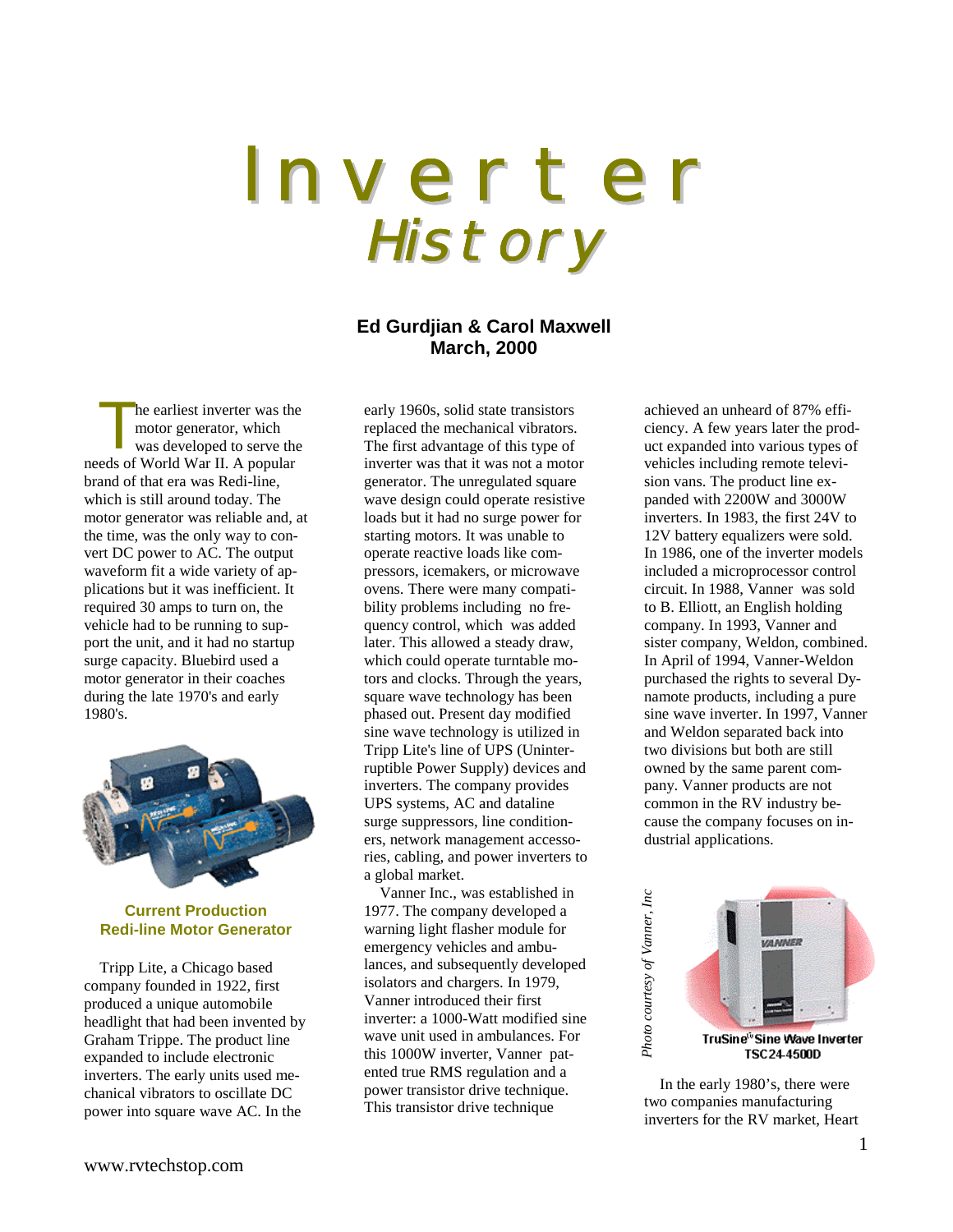# I n v e r t e r History

## **Ed Gurdjian & Carol Maxwell March, 2000**

he earliest inverter was the motor generator, which was developed to serve the The earliest inverter was the motor generator, which<br>was developed to serve the<br>needs of World War II. A popular brand of that era was Redi-line, which is still around today. The motor generator was reliable and, at the time, was the only way to convert DC power to AC. The output waveform fit a wide variety of applications but it was inefficient. It required 30 amps to turn on, the vehicle had to be running to support the unit, and it had no startup surge capacity. Bluebird used a motor generator in their coaches during the late 1970's and early 1980's.



#### **Current Production Redi-line Motor Generator**

Tripp Lite, a Chicago based company founded in 1922, first produced a unique automobile headlight that had been invented by Graham Trippe. The product line expanded to include electronic inverters. The early units used mechanical vibrators to oscillate DC power into square wave AC. In the

early 1960s, solid state transistors replaced the mechanical vibrators. The first advantage of this type of inverter was that it was not a motor generator. The unregulated square wave design could operate resistive loads but it had no surge power for starting motors. It was unable to operate reactive loads like compressors, icemakers, or microwave ovens. There were many compatibility problems including no frequency control, which was added later. This allowed a steady draw, which could operate turntable motors and clocks. Through the years, square wave technology has been phased out. Present day modified sine wave technology is utilized in Tripp Lite's line of UPS (Uninterruptible Power Supply) devices and inverters. The company provides UPS systems, AC and dataline surge suppressors, line conditioners, network management accessories, cabling, and power inverters to a global market.

Vanner Inc., was established in 1977. The company developed a warning light flasher module for emergency vehicles and ambulances, and subsequently developed isolators and chargers. In 1979, Vanner introduced their first inverter: a 1000-Watt modified sine wave unit used in ambulances. For this 1000W inverter, Vanner patented true RMS regulation and a power transistor drive technique. This transistor drive technique

achieved an unheard of 87% efficiency. A few years later the product expanded into various types of vehicles including remote television vans. The product line expanded with 2200W and 3000W inverters. In 1983, the first 24V to 12V battery equalizers were sold. In 1986, one of the inverter models included a microprocessor control circuit. In 1988, Vanner was sold to B. Elliott, an English holding company. In 1993, Vanner and sister company, Weldon, combined. In April of 1994, Vanner-Weldon purchased the rights to several Dynamote products, including a pure sine wave inverter. In 1997, Vanner and Weldon separated back into two divisions but both are still owned by the same parent company. Vanner products are not common in the RV industry because the company focuses on industrial applications.



In the early 1980's, there were two companies manufacturing inverters for the RV market, Heart